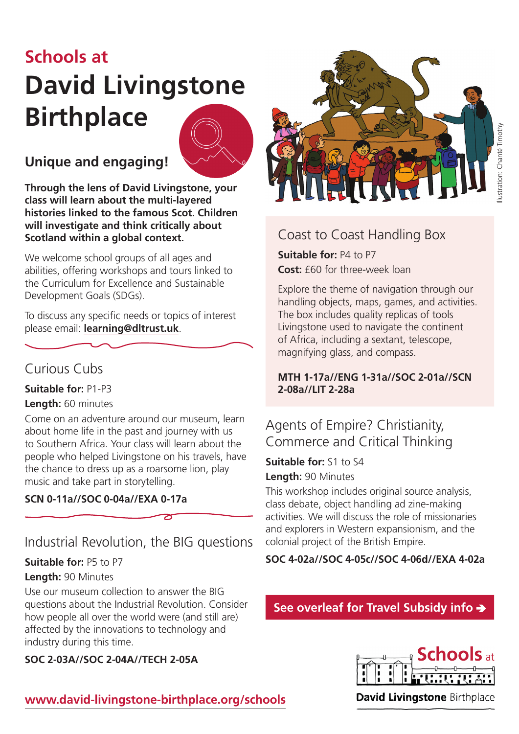# **Schools at David Livingstone Birthplace**



## **Unique and engaging!**

**Through the lens of David Livingstone, your class will learn about the multi-layered histories linked to the famous Scot. Children will investigate and think critically about Scotland within a global context.**

We welcome school groups of all ages and abilities, offering workshops and tours linked to the Curriculum for Excellence and Sustainable Development Goals (SDGs).

To discuss any specific needs or topics of interest please email: **[learning@dltrust.uk](mailto:learning%40dltrust.uk?subject=)**.

## Curious Cubs

**Suitable for:** P1-P3

#### **Length:** 60 minutes

Come on an adventure around our museum, learn about home life in the past and journey with us to Southern Africa. Your class will learn about the people who helped Livingstone on his travels, have the chance to dress up as a roarsome lion, play music and take part in storytelling.

## **SCN 0-11a//SOC 0-04a//EXA 0-17a**

## Industrial Revolution, the BIG questions

#### **Suitable for:** P5 to P7

#### **Length:** 90 Minutes

Use our museum collection to answer the BIG questions about the Industrial Revolution. Consider how people all over the world were (and still are) affected by the innovations to technology and industry during this time.

**SOC 2-03A//SOC 2-04A//TECH 2-05A**

## **[www.david-livingstone-birthplace.org/schools](http://www.david-livingstone-birthplace.org/schools)**



## Coast to Coast Handling Box

**Suitable for:** P4 to P7 **Cost:** £60 for three-week loan

Explore the theme of navigation through our handling objects, maps, games, and activities. The box includes quality replicas of tools Livingstone used to navigate the continent of Africa, including a sextant, telescope, magnifying glass, and compass.

### **MTH 1-17a//ENG 1-31a//SOC 2-01a//SCN 2-08a//LIT 2-28a**

## Agents of Empire? Christianity, Commerce and Critical Thinking

**Suitable for:** S1 to S4 **Length:** 90 Minutes

This workshop includes original source analysis, class debate, object handling ad zine-making activities. We will discuss the role of missionaries and explorers in Western expansionism, and the colonial project of the British Empire.

**SOC 4-02a//SOC 4-05c//SOC 4-06d//EXA 4-02a**

## **See overleaf for Travel Subsidy info**



**David Livingstone Birthplace**